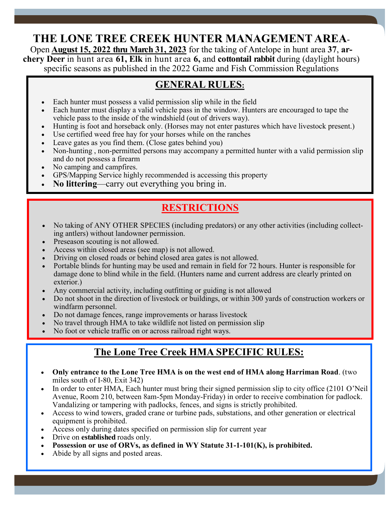# **THE LONE TREE CREEK HUNTER MANAGEMENT AREA**-

Open **August 15, 2022 thru March 31, 2023** for the taking of Antelope in hunt area **37**, **archery Deer** in hunt area **61, Elk** in hunt area **6,** and **cottontail rabbit** during (daylight hours) specific seasons as published in the 2022 Game and Fish Commission Regulations

#### **GENERAL RULES:**

- Each hunter must possess a valid permission slip while in the field
- Each hunter must display a valid vehicle pass in the window. Hunters are encouraged to tape the vehicle pass to the inside of the windshield (out of drivers way).
- Hunting is foot and horseback only. (Horses may not enter pastures which have livestock present.)
- Use certified weed free hay for your horses while on the ranches
- Code certified weed free may for your norder while on the rane research of the service of the service of the service of the service of the service of the service of the service of the service of the service of the servic
	- Non-hunting , non-permitted persons may accompany a permitted hunter with a valid permission slip and do not possess a firearm
	- No camping and campfires.
	- GPS/Mapping Service highly recommended is accessing this property
	- **No littering**—carry out everything you bring in.

## **RESTRICTIONS**

- No taking of ANY OTHER SPECIES (including predators) or any other activities (including collecting antlers) without landowner permission.
- Preseason scouting is not allowed.
- Access within closed areas (see map) is not allowed.
- Driving on closed roads or behind closed area gates is not allowed.
- Portable blinds for hunting may be used and remain in field for 72 hours. Hunter is responsible for damage done to blind while in the field. (Hunters name and current address are clearly printed on exterior.)
- Any commercial activity, including outfitting or guiding is not allowed
- Do not shoot in the direction of livestock or buildings, or within 300 yards of construction workers or windfarm personnel.
- Do not damage fences, range improvements or harass livestock
- No travel through HMA to take wildlife not listed on permission slip
- No foot or vehicle traffic on or across railroad right ways.

#### **The Lone Tree Creek HMA SPECIFIC RULES:**

- **Only entrance to the Lone Tree HMA is on the west end of HMA along Harriman Road**. (two miles south of I-80, Exit 342)
- In order to enter HMA, Each hunter must bring their signed permission slip to city office (2101 O'Neil Avenue, Room 210, between 8am-5pm Monday-Friday) in order to receive combination for padlock. Vandalizing or tampering with padlocks, fences, and signs is strictly prohibited.

Page 2

- Access to wind towers, graded crane or turbine pads, substations, and other generation or electrical equipment is prohibited.
- Access only during dates specified on permission slip for current year
- Drive on **established** roads only.
- **Possession or use of ORVs, as defined in WY Statute 31-1-101(K), is prohibited.**
- Abide by all signs and posted areas.